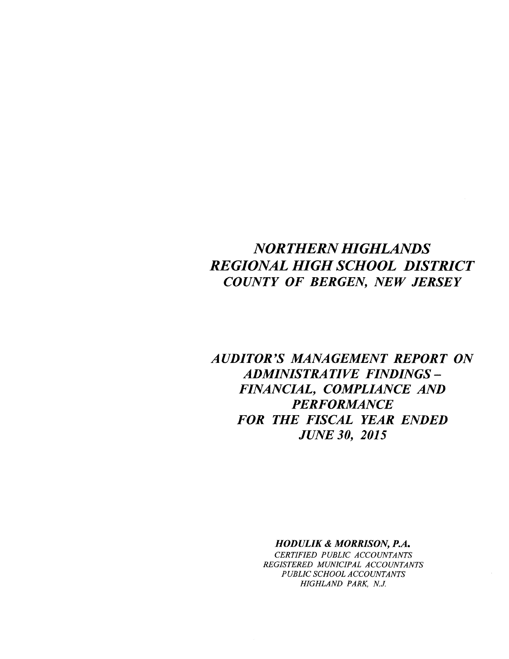# *NORTHERN HIGHLANDS REGIONAL HIGH SCHOOL DISTRICT COUNTY OF BERGEN, NEW JERSEY*

*AUDITOR'S MANAGEMENT REPORT ON ADMINISTRATIVE FINDINGS-FINANCIAL, COMPLIANCE AND PERFORMANCE FOR THE FISCAL YEAR ENDED JUNE 30, 2015*

> *HODULIK* **&** *MORRISON, P.A. CERTIFIED PUBLIC ACCOUNTANTS REGISTERED MUNICIPAL ACCOUNTANTS PUBLIC SCHOOL ACCOUNTANTS HIGHLAND PARK, N.J.*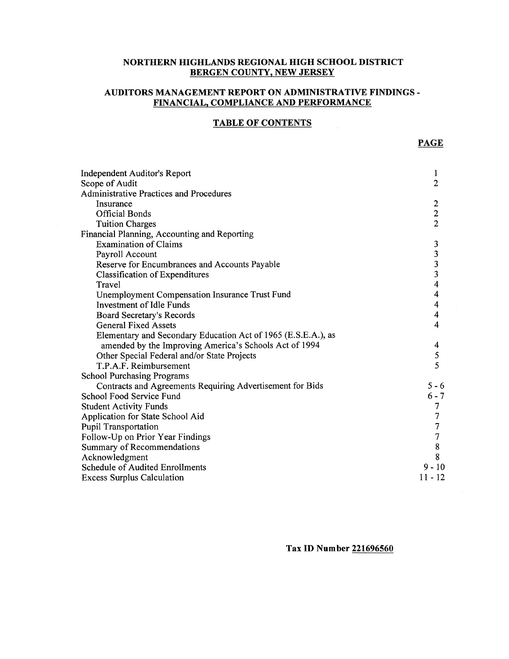# **NORTHERN HIGHLANDS REGIONAL HIGH SCHOOL DISTRICT BERGEN COUNTY, NEW JERSEY**

# **AUDITORS MANAGEMENT REPORT ON ADMINISTRATIVE FINDINGS-FINANCIAL, COMPLIANCE AND PERFORMANCE**

### **TABLE OF CONTENTS**

| Independent Auditor's Report                                  | 1                       |
|---------------------------------------------------------------|-------------------------|
| Scope of Audit                                                | $\overline{2}$          |
| <b>Administrative Practices and Procedures</b>                |                         |
| Insurance                                                     | $\boldsymbol{2}$        |
| <b>Official Bonds</b>                                         | $\boldsymbol{2}$        |
| <b>Tuition Charges</b>                                        | $\overline{2}$          |
| Financial Planning, Accounting and Reporting                  |                         |
| <b>Examination of Claims</b>                                  | 3                       |
| Payroll Account                                               |                         |
| Reserve for Encumbrances and Accounts Payable                 | $\frac{3}{3}$           |
| <b>Classification of Expenditures</b>                         | 3                       |
| Travel                                                        | $\overline{\mathbf{4}}$ |
| <b>Unemployment Compensation Insurance Trust Fund</b>         | 4                       |
| Investment of Idle Funds                                      | $\overline{\mathbf{4}}$ |
| Board Secretary's Records                                     | 4                       |
| <b>General Fixed Assets</b>                                   | $\overline{4}$          |
| Elementary and Secondary Education Act of 1965 (E.S.E.A.), as |                         |
| amended by the Improving America's Schools Act of 1994        | 4                       |
| Other Special Federal and/or State Projects                   | 5                       |
| T.P.A.F. Reimbursement                                        | 5                       |
| <b>School Purchasing Programs</b>                             |                         |
| Contracts and Agreements Requiring Advertisement for Bids     | $5 - 6$                 |
| School Food Service Fund                                      | $6 - 7$                 |
| <b>Student Activity Funds</b>                                 | 7                       |
| Application for State School Aid                              |                         |
| <b>Pupil Transportation</b>                                   | 7                       |
| Follow-Up on Prior Year Findings                              | $\overline{7}$          |
| Summary of Recommendations                                    | 8                       |
| Acknowledgment                                                | 8                       |
| Schedule of Audited Enrollments                               | $9 - 10$                |
| <b>Excess Surplus Calculation</b>                             | $11 - 12$               |

**Tax ID Number 221696560**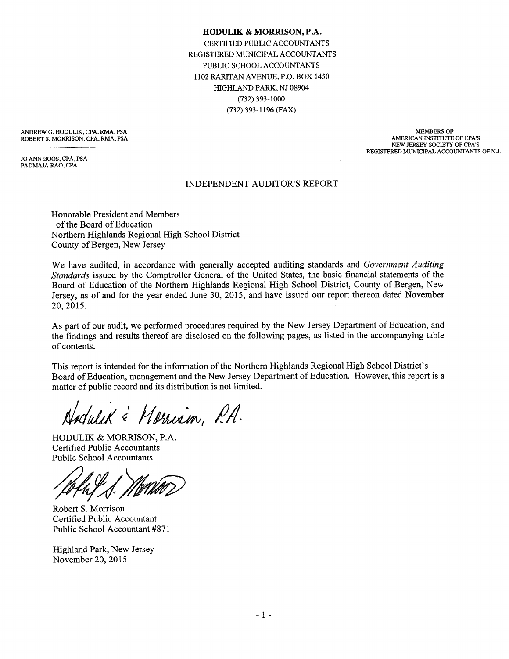#### **HODULIK & MORRISON,P.A.**

CERTIFIED PUBLIC ACCOUNTANTS REGISTERED MUNICIPAL ACCOUNTANTS PUBLIC SCHOOL ACCOUNTANTS 1102 RARITAN AVENUE, P.O. BOX 1450 HIGHLAND PARK, NJ 08904 (732) 393-1000 (732) 393-1196 (FAX)

ANDREW G. HODULIK, CPA, RMA, PSA ROBERT S. MORRISON, CPA. RMA, PSA

JO ANN BOOS, CPA, PSA PADMAJA RAO, CPA

MEMBERS OF: AMERICAN INSTITUTE OF CPA'S NEW JERSEY SOCIETY OF CPA'S REGISTERED MUNICIPAL ACCOUNTANTS OF N.J.

#### INDEPENDENT AUDITOR'S REPORT

Honorable President and Members of the Board of Education Northern Highlands Regional High School District County of Bergen, New Jersey

We have audited, in accordance with generally accepted auditing standards and *Government Auditing Standards* issued by the Comptroller General of the United States, the basic financial statements of the Board of Education of the Northern Highlands Regional High School District, County of Bergen, New Jersey, as of and for the year ended June 30, 2015, and have issued our report thereon dated November 20,2015.

As part of our audit, we performed procedures required by the New Jersey Department of Education, and the findings and results thereof are disclosed on the following pages, as listed in the accompanying table of contents.

This report is intended for the information of the Northern Highlands Regional High School District's Board of Education, management and the New Jersey Department of Education. However, this report is a matter of public record and its distribution is not limited.

Adulik & Morrisin, P.A.

HODULIK & MORRISON, P.A. Certified Public Accountants Public School Accountants

Robert S. Morrison Certified Public Accountant Public School Accountant #871

Highland Park, New Jersey November 20,2015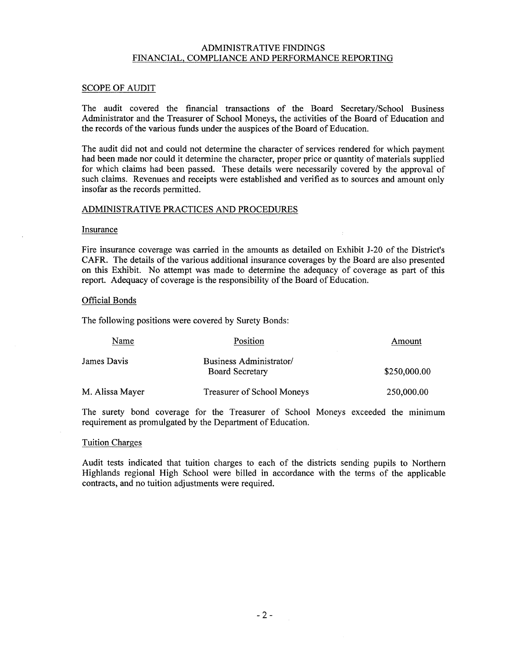#### ADMINISTRATIVE FINDINGS FINANCIAL, COMPLIANCE AND PERFORMANCE REPORTING

#### SCOPE OF AUDIT

The audit covered the financial transactions of the Board Secretary/School Business Administrator and the Treasurer of School Moneys, the activities of the Board of Education and the records of the various funds under the auspices of the Board of Education.

The audit did not and could not determine the character of services rendered for which payment had been made nor could it determine the character, proper price or quantity of materials supplied for which claims had been passed. These details were necessarily covered by the approval of such claims. Revenues and receipts were established and verified as to sources and amount only insofar as the records permitted.

#### ADMINISTRATIVE PRACTICES AND PROCEDURES

#### Insurance

Fire insurance coverage was carried in the amounts as detailed on Exhibit J-20 of the District's CAFR. The details of the various additional insurance coverages by the Board are also presented on this Exhibit. No attempt was made to determine the adequacy of coverage as part of this report. Adequacy of coverage is the responsibility of the Board of Education.

#### Official Bonds

The following positions were covered by Surety Bonds:

| Name            | Position                                          | Amount       |
|-----------------|---------------------------------------------------|--------------|
| James Davis     | Business Administrator/<br><b>Board Secretary</b> | \$250,000.00 |
| M. Alissa Mayer | Treasurer of School Moneys                        | 250,000.00   |

The surety bond coverage for the Treasurer of School Moneys exceeded the minimum requirement as promulgated by the Department of Education.

#### Tuition Charges

Audit tests indicated that tuition charges to each of the districts sending pupils to Northern Highlands regional High School were billed in accordance with the terms of the applicable contracts, and no tuition adjustments were required.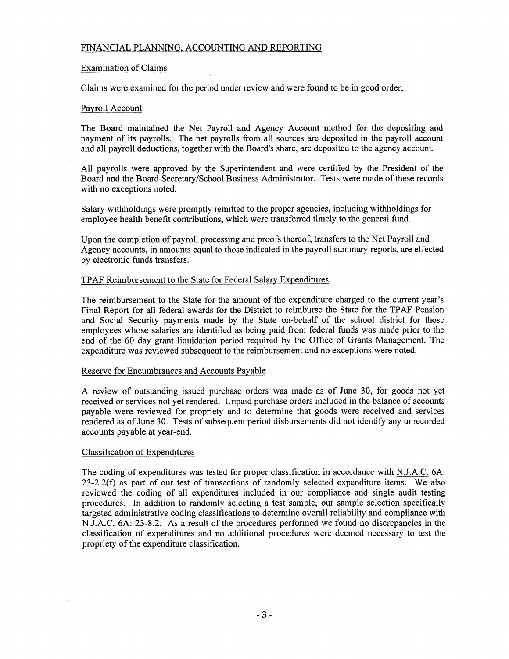#### FINANCIAL PLANNING, ACCOUNTING AND REPORTING

#### Examination of Claims

Claims were examined for the period under review and were found to be in good order.

#### Payroll Account

The Board maintained the Net Payroll and Agency Account method for the depositing and payment of its payrolls. The net payrolls from all sources are deposited in the payroll account and all payroll deductions, together with the Board's share, are deposited to the agency account.

All payrolls were approved by the Superintendent and were certified by the President of the Board and the Board Secretary/School Business Administrator. Tests were made of these records with no exceptions noted.

Salary withholdings were promptly remitted to the proper agencies, including withholdings for employee health benefit contributions, which were transferred timely to the general fund.

Upon the completion of payroll processing and proofs thereof, transfers to the Net Payroll and Agency accounts, in amounts equal to those indicated in the payroll summary reports, are effected by electronic funds transfers.

#### TPAF Reimbursement to the State for Federal Salary Expenditures

The reimbursement to the State for the amount of the expenditure charged to the current year's Final Report for all federal awards for the District to reimburse the State for the TPAF Pension and Social Security payments made by the State on-behalf of the school district for those employees whose salaries are identified as being paid from federal funds was made prior to the end of the 60 day grant liquidation period required by the Office of Grants Management. The expenditure was reviewed subsequent to the reimbursement and no exceptions were noted.

#### Reserve for Encumbrances and Accounts Payable

A review of outstanding issued purchase orders was made as of June 30, for goods not yet received or services not yet rendered. Unpaid purchase orders included in the balance of accounts payable were reviewed for propriety and to determine that goods were received and services rendered as of June 30. Tests of subsequent period disbursements did not identify any unrecorded accounts payable at year-end.

#### Classification of Expenditures

The coding of expenditures was tested for proper classification in accordance with NJ.A.C. 6A: 23-2.2(f) as part of our test of transactions of randomly selected expenditure items. We also reviewed the coding of all expenditures included in our compliance and single audit testing procedures. In addition to randomly selecting a test sample, our sample selection specifically targeted administrative coding classifications to determine overall reliability and compliance with N.J.A.C. 6A: 23-8.2. As a result of the procedures performed we found no discrepancies in the classification of expenditures and no additional procedures were deemed necessary to test the propriety of the expenditure classification.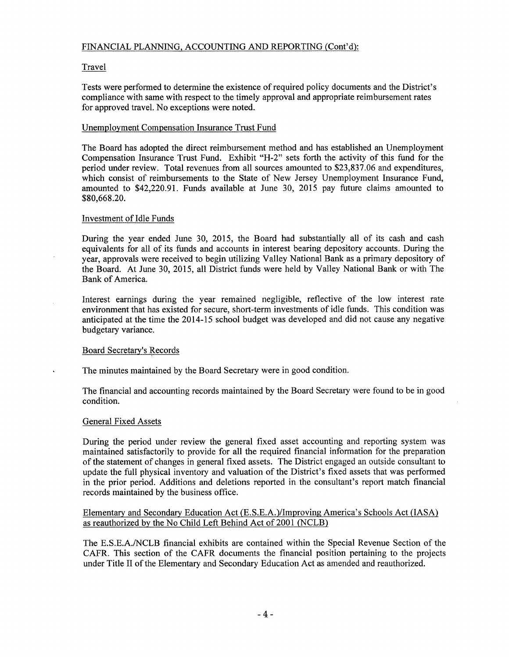# FINANCIAL PLANNING, ACCOUNTING AND REPORTING (Cont'd):

# Travel

Tests were performed to determine the existence of required policy documents and the District's compliance with same with respect to the timely approval and appropriate reimbursement rates for approved travel. No exceptions were noted.

# Unemployment Compensation Insurance Trust Fund

The Board has adopted the direct reimbursement method and has established an Unemployment Compensation Insurance Trust Fund. Exhibit "H-2" sets forth the activity of this fund for the period under review. Total revenues from all sources amounted to \$23,837.06 and expenditures, which consist of reimbursements to the State of New Jersey Unemployment Insurance Fund, amounted to \$42,220.91. Funds available at June 30, 2015 pay future claims amounted to \$80,668.20.

### Investment of Idle Funds

During the year ended June 30, 2015, the Board had substantially all of its cash and cash equivalents for all of its funds and accounts in interest bearing depository accounts. During the year, approvals were received to begin utilizing Valley National Bank as a primary depository of the Board. At June 30, 2015, all District funds were held by Valley National Bank or with The Bank of America.

Interest earnings during the year remained negligible, reflective of the low interest rate environment that has existed for secure, short-term investments of idle funds. This condition was anticipated at the time the 2014-15 school budget was developed and did not cause any negative budgetary variance.

### Board Secretary's Records

The minutes maintained by the Board Secretary were in good condition.

The financial and accounting records maintained by the Board Secretary were found to be in good condition.

### General Fixed Assets

During the period under review the general fixed asset accounting and reporting system was maintained satisfactorily to provide for all the required financial information for the preparation of the statement of changes in general fixed assets. The District engaged an outside consultant to update the full physical inventory and valuation of the District's fixed assets that was performed in the prior period. Additions and deletions reported in the consultant's report match financial records maintained by the business office.

#### Elementary and Secondary Education Act (E.S.E.A.)IImproving America's Schools Act (IASA) as reauthorized by the No Child Left Behind Act of 2001 (NCLB)

The E.S.E.A.INCLB financial exhibits are contained within the Special Revenue Section of the CAFR. This section of the CAFR documents the financial position pertaining to the projects under Title II of the Elementary and Secondary Education Act as amended and reauthorized.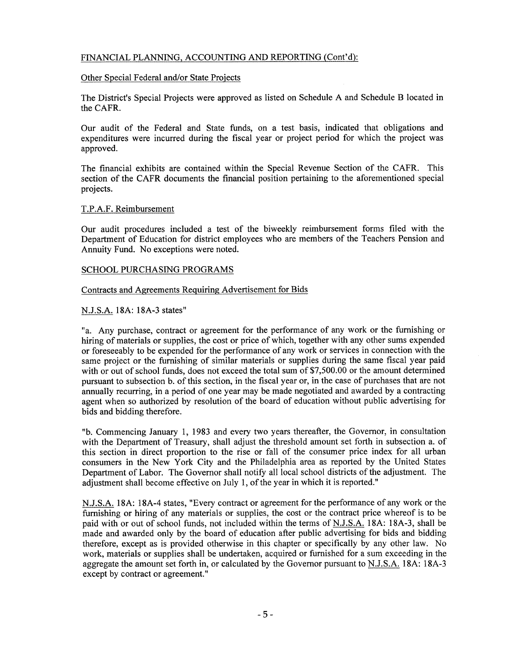### FINANCIAL PLANNING, ACCOUNTING AND REPORTING (Cont'd):

#### Other Special Federal and/or State Projects

The District's Special Projects were approved as listed on Schedule A and Schedule B located in the CAFR.

Our audit of the Federal and State funds, on a test basis, indicated that obligations and expenditures were incurred during the fiscal year or project period for which the project was approved.

The financial exhibits are contained within the Special Revenue Section of the CAFR. This section of the CAFR documents the financial position pertaining to the aforementioned special projects.

### T.P.A.F. Reimbursement

Our audit procedures included a test of the biweekly reimbursement forms filed with the Department of Education for district employees who are members of the Teachers Pension and Annuity Fund. No exceptions were noted.

#### SCHOOL PURCHASING PROGRAMS

#### Contracts and Agreements Requiring Advertisement for Bids

#### N.J.S.A. 18A: 18A-3 states"

"a. Any purchase, contract or agreement for the performance of any work or the furnishing or hiring of materials or supplies, the cost or price of which, together with any other sums expended or foreseeably to be expended for the performance of any work or services in connection with the same project or the furnishing of similar materials or supplies during the same fiscal year paid with or out of school funds, does not exceed the total sum of \$7,500.00 or the amount determined pursuant to subsection b. of this section, in the fiscal year or, in the case of purchases that are not annually recurring, in a period of one year may be made negotiated and awarded by a contracting agent when so authorized by resolution of the board of education without public advertising for bids and bidding therefore.

"b. Commencing January 1, 1983 and every two years thereafter, the Governor, in consultation with the Department of Treasury, shall adjust the threshold amount set forth in subsection a. of this section in direct proportion to the rise or fall of the consumer price index for all urban consumers in the New York City and the Philadelphia area as reported by the United States Department of Labor. The Governor shall notify all local school districts of the adjustment. The adjustment shall become effective on July 1, of the year in which it is reported."

N.J.S.A. 18A: 18A-4 states, "Every contract or agreement for the performance of any work or the furnishing or hiring of any materials or supplies, the cost or the contract price whereof is to be paid with or out of school funds, not included within the terms of N.J.S.A. 18A: 18A-3, shall be made and awarded only by the board of education after public advertising for bids and bidding therefore, except as is provided otherwise in this chapter or specifically by any other law. No work, materials or supplies shall be undertaken, acquired or furnished for a sum exceeding in the aggregate the amount set forth in, or calculated by the Governor pursuant to N.J.S.A. 18A: 18A-3 except by contract or agreement."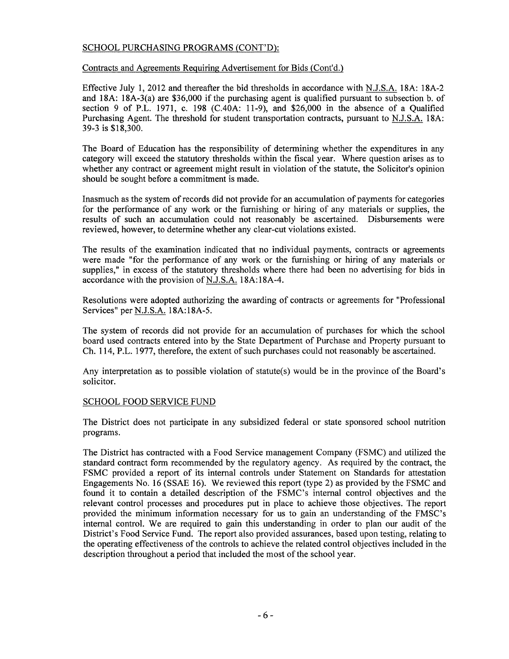#### SCHOOL PURCHASING PROGRAMS (CONT'D):

Contracts and Agreements Requiring Advertisement for Bids (Cont'd.)

Effective July 1,2012 and thereafter the bid thresholds in accordance with N.J.S.A. 18A: 18A-2 and 18A: 18A-3(a) are \$36,000 if the purchasing agent is qualified pursuant to subsection b. of section 9 of P.L. 1971, c. 198 *(CAOA:* 11-9), and \$26,000 in the absence of a Qualified Purchasing Agent. The threshold for student transportation contracts, pursuant to N.J.S.A. 18A: 39-3 is \$18,300.

The Board of Education has the responsibility of determining whether the expenditures in any category will exceed the statutory thresholds within the fiscal year. Where question arises as to whether any contract or agreement might result in violation of the statute, the Solicitor's opinion should be sought before a commitment is made.

Inasmuch as the system of records did not provide for an accumulation of payments for categories for the performance of any work or the furnishing or hiring of any materials or supplies, the results of such an accumulation could not reasonably be ascertained. Disbursements were reviewed, however, to determine whether any clear-cut violations existed.

The results of the examination indicated that no individual payments, contracts or agreements were made "for the performance of any work or the furnishing or hiring of any materials or supplies," in excess of the statutory thresholds where there had been no advertising for bids in accordance with the provision of N.J.S.A. 18A:18A-4.

Resolutions were adopted authorizing the awarding of contracts or agreements for "Professional Services" per NJ.S.A. 18A:18A-5.

The system of records did not provide for an accumulation of purchases for which the school board used contracts entered into by the State Department of Purchase and Property pursuant to Ch. 114, P.L. 1977, therefore, the extent of such purchases could not reasonably be ascertained.

Any interpretation as to possible violation of statute(s) would be in the province of the Board's solicitor.

#### SCHOOL FOOD SERVICE FUND

The District does not participate in any subsidized federal or state sponsored school nutrition programs.

The District has contracted with a Food Service management Company (FSMC) and utilized the standard contract form recommended by the regulatory agency. As required by the contract, the FSMC provided a report of its internal controls under Statement on Standards for attestation Engagements No. 16 (SSAE 16). We reviewed this report (type 2) as provided by the FSMC and found it to contain a detailed description of the FSMC's internal control objectives and the relevant control processes and procedures put in place to achieve those objectives. The report provided the minimum information necessary for us to gain an understanding of the FMSC's internal control. We are required to gain this understanding in order to plan our audit of the District's Food Service Fund. The report also provided assurances, based upon testing, relating to the operating effectiveness of the controls to achieve the related control objectives included in the description throughout a period that included the most of the school year.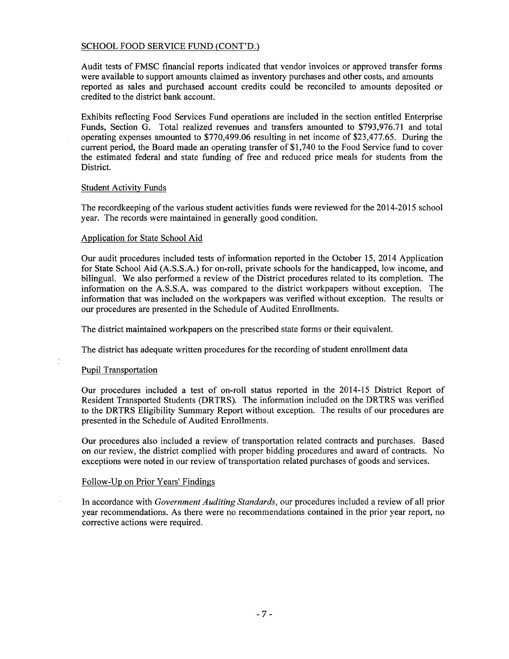#### SCHOOL FOOD SERVICE FUND (CONT'D.)

Audit tests of FMSC financial reports indicated that vendor invoices or approved transfer forms were available to support amounts claimed as inventory purchases and other costs, and amounts reported as sales and purchased account credits could be reconciled to amounts deposited or credited to the district bank account.

Exhibits reflecting Food Services Fund operations are included in the section entitled Enterprise Funds, Section G. Total realized revenues and transfers amounted to \$793,976.71 and total operating expenses amounted to \$770,499.06 resulting in net income of \$23,477.65. During the current period, the Board made an operating transfer of \$1,740 to the Food Service fund to cover the estimated federal and state funding of free and reduced price meals for students from the District.

#### Student Activity Funds

The recordkeeping of the various student activities funds were reviewed for the 2014-2015 school year. The records were maintained in generally good condition.

#### Application for State School Aid

Our audit procedures included tests of information reported in the October 15, 2014 Application for State School Aid (A.S.S.A.) for on-roll, private schools for the handicapped, low income, and bilingual. We also performed a review of the District procedures related to its completion. The information on the A.S.S.A. was compared to the district workpapers without exception. The information that was included on the workpapers was verified without exception. The results or our procedures are presented in the Schedule of Audited Enrollments.

The district maintained workpapers on the prescribed state forms or their equivalent.

The district has adequate written procedures for the recording of student enrollment data

### Pupil Transportation

Our procedures included a test of on-roll status reported in the 2014-15 District Report of Resident Transported Students (DRTRS). The information included on the DRTRS was verified to the DRTRS Eligibility Summary Report without exception. The results of our procedures are presented in the Schedule of Audited Enrollments.

Our procedures also included a review of transportation related contracts and purchases. Based on our review, the district complied with proper bidding procedures and award of contracts. No exceptions were noted in our review of transportation related purchases of goods and services.

#### Follow-Up on Prior Years' Findings

In accordance with *Government Auditing Standards,* our procedures included a review of all prior year recommendations. As there were no recommendations contained in the prior year report, no corrective actions were required.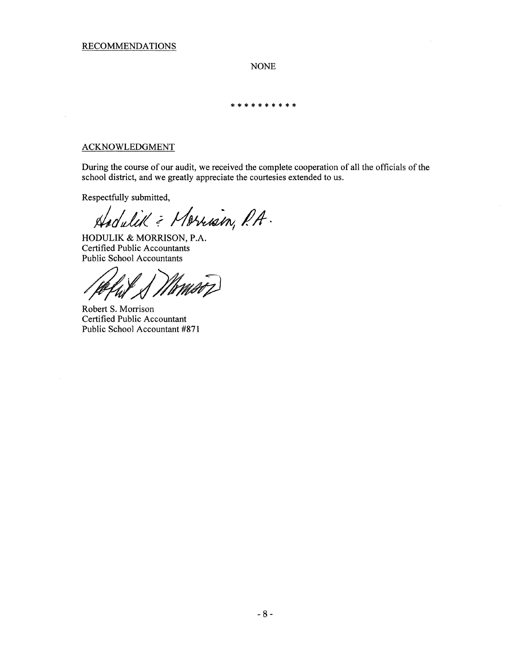NONE

\*\*\*\*\*\*\*\*\*\*

## ACKNOWLEDGMENT

 $\sim$ 

During the course of our audit, we received the complete cooperation of all the officials of the school district, and we greatly appreciate the courtesies extended to *us.*

 $\mathcal{L}$ 

Respectfully submitted,

*d!Jd( i;j~ ilA-·*

HODULIK & MORRISON, P.A. Certified Public Accountants Public School Accountants

.<br>MATZ UN

Robert S. Morrison Certified Public Accountant Public School Accountant #871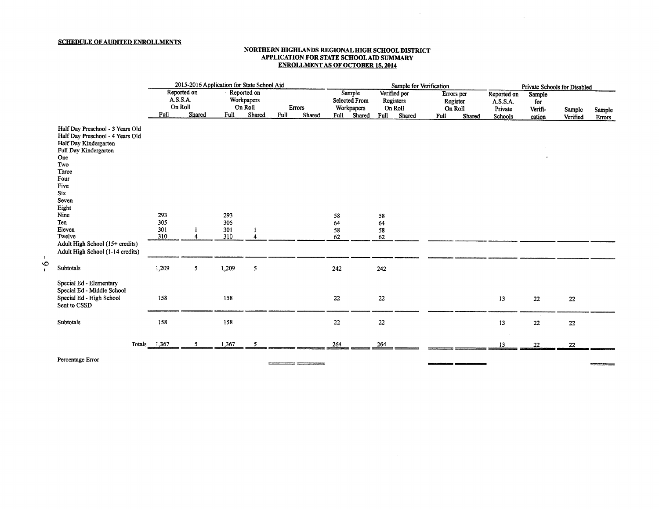#### SCHEDULE OF AUDITED ENROLLMENTS

#### NORTHERN HIGHLANDS REGIONAL HIGH SCHOOL DISTRICT APPLICATION FOR STATE SCHOOL AID SUMMARY ENROLLMENT AS OF OCTOBER 15, 2014

 $\sim 100$ 

|                                                                                                                                                                                        | 2015-2016 Application for State School Aid |                                              |            |                                                |                          |  | Sample for Verification                              |        |                                              |        |                                   | Private Schools for Disabled |                                    |                          |          |        |
|----------------------------------------------------------------------------------------------------------------------------------------------------------------------------------------|--------------------------------------------|----------------------------------------------|------------|------------------------------------------------|--------------------------|--|------------------------------------------------------|--------|----------------------------------------------|--------|-----------------------------------|------------------------------|------------------------------------|--------------------------|----------|--------|
|                                                                                                                                                                                        | Full                                       | Reported on<br>A.S.S.A.<br>On Roll<br>Shared | Full       | Reported on<br>Workpapers<br>On Roll<br>Shared | Errors<br>Full<br>Shared |  | Sample<br><b>Selected From</b><br>Workpapers<br>Full |        | Verified per<br>Registers<br>On Roll<br>Full |        | Errors per<br>Register<br>On Roll |                              | Reported on<br>A.S.S.A.<br>Private | Sample<br>for<br>Verifi- | Sample   | Sample |
|                                                                                                                                                                                        |                                            |                                              |            |                                                |                          |  |                                                      | Shared |                                              | Shared | Full                              | Shared                       | Schools                            | cation                   | Verified | Errors |
| Half Day Preschool - 3 Years Old<br>Half Day Preschool - 4 Years Old<br>Half Day Kindergarten<br>Full Day Kindergarten<br>One<br>Two<br>Three<br>Four<br>Five<br>Six<br>Seven<br>Eight |                                            |                                              |            |                                                |                          |  |                                                      |        |                                              |        |                                   |                              |                                    |                          |          |        |
| Nine<br>Ten                                                                                                                                                                            | 293<br>305                                 |                                              | 293<br>305 |                                                |                          |  | 58                                                   |        | 58                                           |        |                                   |                              |                                    |                          |          |        |
| Eleven                                                                                                                                                                                 | 301                                        |                                              | 301        |                                                |                          |  | 64<br>58                                             |        | 64<br>58                                     |        |                                   |                              |                                    |                          |          |        |
| Twelve<br>Adult High School (15+ credits)<br>Adult High School (1-14 credits)                                                                                                          | 310                                        | $\overline{4}$                               | 310        | 4                                              |                          |  | 62                                                   |        | 62                                           |        |                                   |                              |                                    |                          |          |        |
| Subtotals                                                                                                                                                                              | 1,209                                      | 5                                            | 1,209      | 5                                              |                          |  | 242                                                  |        | 242                                          |        |                                   |                              |                                    |                          |          |        |
| Special Ed - Elementary<br>Special Ed - Middle School<br>Special Ed - High School<br>Sent to CSSD                                                                                      | 158                                        |                                              | 158        |                                                |                          |  | 22                                                   |        | 22                                           |        |                                   |                              | 13                                 | 22                       | 22       |        |
| Subtotals                                                                                                                                                                              | 158                                        |                                              | 158        |                                                |                          |  | 22                                                   |        | $\bf 22$                                     |        |                                   |                              | 13                                 | $22\,$                   | 22       |        |
|                                                                                                                                                                                        | Totals $\frac{1,367}{2}$                   | 5                                            | 1,367      | 5                                              |                          |  | 264                                                  |        | 264                                          |        |                                   |                              | 13                                 | 22                       | 22       |        |
| .                                                                                                                                                                                      |                                            |                                              |            |                                                |                          |  |                                                      |        |                                              |        |                                   |                              |                                    |                          |          |        |

Percentage Error

 $\mathbf{1}$  $\bullet$ 

 $\mathbf{I}$ 

 $\sim$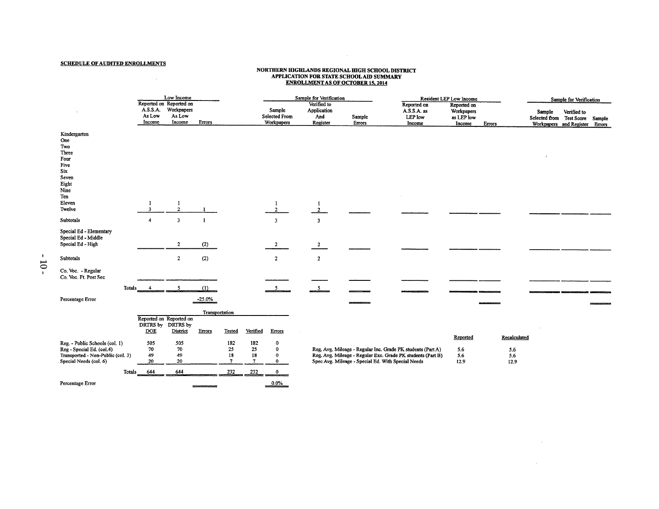#### SCHEDULE OF AUDITED ENROLLMENTS

 $\label{eq:2.1} \frac{1}{\sqrt{2}}\int_{\mathbb{R}^3}\frac{1}{\sqrt{2}}\left(\frac{1}{\sqrt{2}}\right)^2\frac{1}{\sqrt{2}}\left(\frac{1}{\sqrt{2}}\right)^2\frac{1}{\sqrt{2}}\left(\frac{1}{\sqrt{2}}\right)^2\frac{1}{\sqrt{2}}\left(\frac{1}{\sqrt{2}}\right)^2.$ 

# NORTHERN HIGHLANDS REGIONAL HIGH SCHOOL DISTRICT<br>APPLICATION FOR STATE SCHOOL AID SUMMARY<br>ENROLLMENT AS OF OCTOBER 15, 2014

 $\mathcal{L}^{\text{max}}_{\text{max}}$  and  $\mathcal{L}^{\text{max}}_{\text{max}}$ 

|                                                                                                                            |                              | Low Income                                   |                                         |                |                      |                                  | Sample for Verification               |  |                                               |                                                    |                                                                                                                            | Resident LEP Low Income                           |                                    | Sample for Verification            |                                        |                  |  |
|----------------------------------------------------------------------------------------------------------------------------|------------------------------|----------------------------------------------|-----------------------------------------|----------------|----------------------|----------------------------------|---------------------------------------|--|-----------------------------------------------|----------------------------------------------------|----------------------------------------------------------------------------------------------------------------------------|---------------------------------------------------|------------------------------------|------------------------------------|----------------------------------------|------------------|--|
|                                                                                                                            | A.S.S.A.<br>As Low<br>Income | Reported on Reported on                      | Workpapers<br>As Low<br>Income          | Errors         |                      |                                  | Sample<br>Selected From<br>Workpapers |  | Verified to<br>Application<br>And<br>Register | Sample<br>Errors                                   | Reported on<br>A.S.S.A. as<br>LEP low<br>Income                                                                            | Reported on<br>Workpapers<br>as LEP low<br>Income | Enors                              | Sample<br>Selected from Test Score | Verified to<br>Workpapers and Register | Sample<br>Errors |  |
| Kindergarten<br>One<br>Two<br>Three<br>Four<br>Five<br>Six<br>Seven<br>Eight<br>Nine<br>Ten<br>Eleven                      | -1                           |                                              | -1                                      |                |                      |                                  | $\mathbf{1}$                          |  | $\mathbf{1}$                                  |                                                    |                                                                                                                            |                                                   |                                    |                                    |                                        |                  |  |
| Twelve<br>Subtotals                                                                                                        | 3<br>$\boldsymbol{4}$        |                                              | $\mathbf{2}$<br>$\overline{\mathbf{3}}$ | $\mathbf{1}$   |                      |                                  | $2^{\circ}$<br>$\overline{3}$         |  | $2^{\circ}$<br>$\overline{\mathbf{3}}$        |                                                    |                                                                                                                            |                                                   |                                    |                                    |                                        |                  |  |
| Special Ed - Elementary<br>Special Ed - Middle<br>Special Ed - High                                                        |                              |                                              | $\mathbf{2}$                            | (2)            |                      |                                  | $\mathbf{2}$                          |  | $\overline{2}$                                |                                                    |                                                                                                                            |                                                   |                                    |                                    |                                        |                  |  |
| Subtotals                                                                                                                  |                              |                                              | $\mathbf{2}$                            | (2)            |                      |                                  | $\mathbf{z}$                          |  | $\overline{2}$                                |                                                    |                                                                                                                            |                                                   |                                    |                                    |                                        |                  |  |
| Co. Voc. - Regular<br>Co. Voc. Ft. Post Sec                                                                                |                              |                                              |                                         |                |                      |                                  |                                       |  |                                               |                                                    |                                                                                                                            |                                                   |                                    |                                    |                                        |                  |  |
| Totals                                                                                                                     |                              |                                              | -5                                      | (1)            |                      |                                  |                                       |  |                                               |                                                    |                                                                                                                            |                                                   |                                    |                                    |                                        |                  |  |
| Percentage Error                                                                                                           |                              |                                              |                                         | $-25.0%$       |                      |                                  |                                       |  |                                               |                                                    |                                                                                                                            |                                                   |                                    |                                    |                                        |                  |  |
|                                                                                                                            |                              |                                              |                                         | Transportation |                      |                                  |                                       |  |                                               |                                                    |                                                                                                                            |                                                   |                                    |                                    |                                        |                  |  |
|                                                                                                                            | <b>DOE</b>                   | Reported on Reported on<br>DRTRS by DRTRS by | District                                | Errors         | Tested               | Verified                         | Errors                                |  |                                               |                                                    |                                                                                                                            |                                                   |                                    |                                    |                                        |                  |  |
| Reg. - Public Schools (col. 1)<br>Reg - Special Ed. (col.4)<br>Transported - Non-Public (col. 3)<br>Special Needs (col. 6) | 505<br>70<br>49<br>20        |                                              | 505<br>70<br>49<br>20                   |                | 182<br>25<br>18<br>7 | 182<br>25<br>18<br>$\mathcal{I}$ | 0<br>$\mathbf 0$<br>0<br>$\mathbf 0$  |  |                                               | Spec Avg. Mileage - Special Ed. With Special Needs | Reg. Avg. Mileage - Regular Inc. Grade PK students (Part A)<br>Reg. Avg. Mileage - Regular Exc. Grade PK students (Part B) | Reported<br>5.6<br>5.6<br>12.9                    | Recalculated<br>5.6<br>5.6<br>12.9 |                                    |                                        |                  |  |
| Totals                                                                                                                     | 644                          |                                              | 644                                     |                | 232                  | 232                              | $\bf{0}$                              |  |                                               |                                                    |                                                                                                                            |                                                   |                                    |                                    |                                        |                  |  |
| Percentage Error                                                                                                           |                              |                                              |                                         |                |                      |                                  | 0.0%                                  |  |                                               |                                                    |                                                                                                                            |                                                   |                                    |                                    |                                        |                  |  |

 $\mathcal{L}^{\text{max}}_{\text{max}}$  and  $\mathcal{L}^{\text{max}}_{\text{max}}$ 

 $\sim 10^{11}$  km  $^{-1}$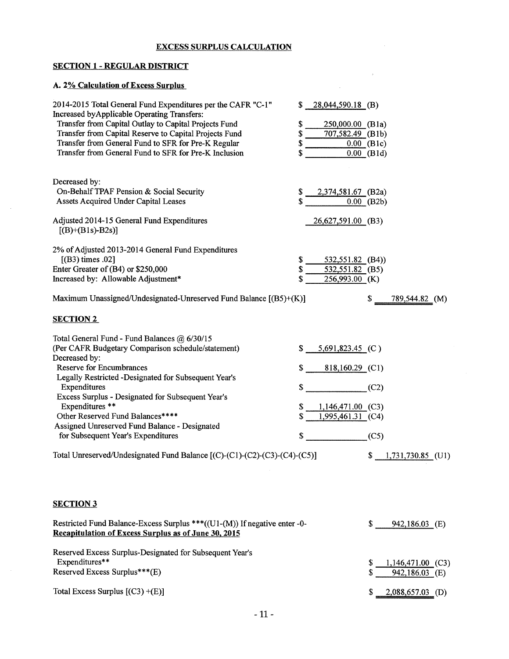#### EXCESS SURPLUS CALCULATION

# SECTION 1 - REGULAR DISTRICT

# A. 2% Calculation of Excess Surplus

 $\sim$ 

| 2014-2015 Total General Fund Expenditures per the CAFR "C-1"<br>Increased by Applicable Operating Transfers:<br>Transfer from Capital Outlay to Capital Projects Fund<br>Transfer from Capital Reserve to Capital Projects Fund<br>Transfer from General Fund to SFR for Pre-K Regular<br>Transfer from General Fund to SFR for Pre-K Inclusion                                                                                                                                                                | $28,044,590.18$ (B)<br>S.<br>\$<br>250,000.00 (B1a)<br>\$<br>707,582.49 (B1b)<br>\$<br>\$                         | $0.00$ (B1c)<br>$0.00$ (B1d)                         |
|----------------------------------------------------------------------------------------------------------------------------------------------------------------------------------------------------------------------------------------------------------------------------------------------------------------------------------------------------------------------------------------------------------------------------------------------------------------------------------------------------------------|-------------------------------------------------------------------------------------------------------------------|------------------------------------------------------|
| Decreased by:<br>On-Behalf TPAF Pension & Social Security<br>Assets Acquired Under Capital Leases<br>Adjusted 2014-15 General Fund Expenditures                                                                                                                                                                                                                                                                                                                                                                | 2,374,581.67 (B2a)                                                                                                | $0.00$ (B2b)                                         |
| $[(B)+(B1s)-B2s)]$                                                                                                                                                                                                                                                                                                                                                                                                                                                                                             | 26,627,591.00 (B3)                                                                                                |                                                      |
| 2% of Adjusted 2013-2014 General Fund Expenditures<br>[(B3) times .02]<br>Enter Greater of (B4) or \$250,000<br>Increased by: Allowable Adjustment*<br>Maximum Unassigned/Undesignated-Unreserved Fund Balance [(B5)+(K)]                                                                                                                                                                                                                                                                                      | $532,551.82$ (B4))<br>S<br>532,551.82 (B5)<br>S<br>256,993.00 (K)                                                 | \$<br>789,544.82 (M)                                 |
| <b>SECTION 2</b>                                                                                                                                                                                                                                                                                                                                                                                                                                                                                               |                                                                                                                   |                                                      |
| Total General Fund - Fund Balances @ 6/30/15<br>(Per CAFR Budgetary Comparison schedule/statement)<br>Decreased by:<br><b>Reserve for Encumbrances</b><br>Legally Restricted -Designated for Subsequent Year's<br>Expenditures<br>Excess Surplus - Designated for Subsequent Year's<br>Expenditures **<br>Other Reserved Fund Balances****<br>Assigned Unreserved Fund Balance - Designated<br>for Subsequent Year's Expenditures<br>Total Unreserved/Undesignated Fund Balance [(C)-(C1)-(C2)-(C3)-(C4)-(C5)] | $5,691,823.45$ (C)<br>\$<br>$818,160.29$ (C1)<br>\$<br>$1,146,471.00$ (C3)<br>\$<br>1,995,461.31 (C4)<br>\$<br>\$ | (C2)<br>(C5)<br>1,731,730.85 (U1)<br>\$              |
| <b>SECTION 3</b>                                                                                                                                                                                                                                                                                                                                                                                                                                                                                               |                                                                                                                   |                                                      |
| Restricted Fund Balance-Excess Surplus ***((U1-(M)) If negative enter -0-<br><b>Recapitulation of Excess Surplus as of June 30, 2015</b>                                                                                                                                                                                                                                                                                                                                                                       |                                                                                                                   | \$<br>942,186.03 (E)                                 |
| Reserved Excess Surplus-Designated for Subsequent Year's<br>Expenditures**<br>Reserved Excess Surplus***(E)                                                                                                                                                                                                                                                                                                                                                                                                    |                                                                                                                   | \$<br>$1,146,471.00$ (C3)<br>\$<br>942,186.03<br>(E) |

Total Excess Surplus [(C3) +(E)]

 $$ 2,088,657.03$  (D)

 $\sim$   $\mu$